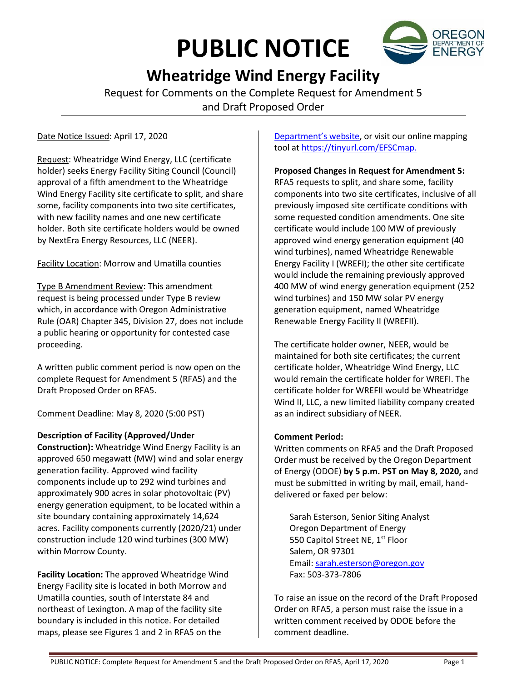# **PUBLIC NOTICE**



# **Wheatridge Wind Energy Facility**

Request for Comments on the Complete Request for Amendment 5 and Draft Proposed Order

Date Notice Issued: April 17, 2020

Request: Wheatridge Wind Energy, LLC (certificate holder) seeks Energy Facility Siting Council (Council) approval of a fifth amendment to the Wheatridge Wind Energy Facility site certificate to split, and share some, facility components into two site certificates, with new facility names and one new certificate holder. Both site certificate holders would be owned by NextEra Energy Resources, LLC (NEER).

Facility Location: Morrow and Umatilla counties

Type B Amendment Review: This amendment request is being processed under Type B review which, in accordance with Oregon Administrative Rule (OAR) Chapter 345, Division 27, does not include a public hearing or opportunity for contested case proceeding.

A written public comment period is now open on the complete Request for Amendment 5 (RFA5) and the Draft Proposed Order on RFA5.

Comment Deadline: May 8, 2020 (5:00 PST)

# **Description of Facility (Approved/Under**

**Construction):** Wheatridge Wind Energy Facility is an approved 650 megawatt (MW) wind and solar energy generation facility. Approved wind facility components include up to 292 wind turbines and approximately 900 acres in solar photovoltaic (PV) energy generation equipment, to be located within a site boundary containing approximately 14,624 acres. Facility components currently (2020/21) under construction include 120 wind turbines (300 MW) within Morrow County.

**Facility Location:** The approved Wheatridge Wind Energy Facility site is located in both Morrow and Umatilla counties, south of Interstate 84 and northeast of Lexington. A map of the facility site boundary is included in this notice. For detailed maps, please see Figures 1 and 2 in RFA5 on the

[Department's website](https://www.oregon.gov/energy/facilities-safety/facilities/Pages/WRW.aspx), or visit our online mapping tool a[t https://tinyurl.com/EFSCmap.](https://tinyurl.com/EFSCmap)

**Proposed Changes in Request for Amendment 5:**

RFA5 requests to split, and share some, facility components into two site certificates, inclusive of all previously imposed site certificate conditions with some requested condition amendments. One site certificate would include 100 MW of previously approved wind energy generation equipment (40 wind turbines), named Wheatridge Renewable Energy Facility I (WREFI); the other site certificate would include the remaining previously approved 400 MW of wind energy generation equipment (252 wind turbines) and 150 MW solar PV energy generation equipment, named Wheatridge Renewable Energy Facility II (WREFII).

The certificate holder owner, NEER, would be maintained for both site certificates; the current certificate holder, Wheatridge Wind Energy, LLC would remain the certificate holder for WREFI. The certificate holder for WREFII would be Wheatridge Wind II, LLC, a new limited liability company created as an indirect subsidiary of NEER.

# **Comment Period:**

Written comments on RFA5 and the Draft Proposed Order must be received by the Oregon Department of Energy (ODOE) **by 5 p.m. PST on May 8, 2020,** and must be submitted in writing by mail, email, handdelivered or faxed per below:

Sarah Esterson, Senior Siting Analyst Oregon Department of Energy 550 Capitol Street NE, 1<sup>st</sup> Floor Salem, OR 97301 Email[: sarah.esterson@oregon.gov](mailto:sarah.esterson@oregon.gov) Fax: 503-373-7806

To raise an issue on the record of the Draft Proposed Order on RFA5, a person must raise the issue in a written comment received by ODOE before the comment deadline.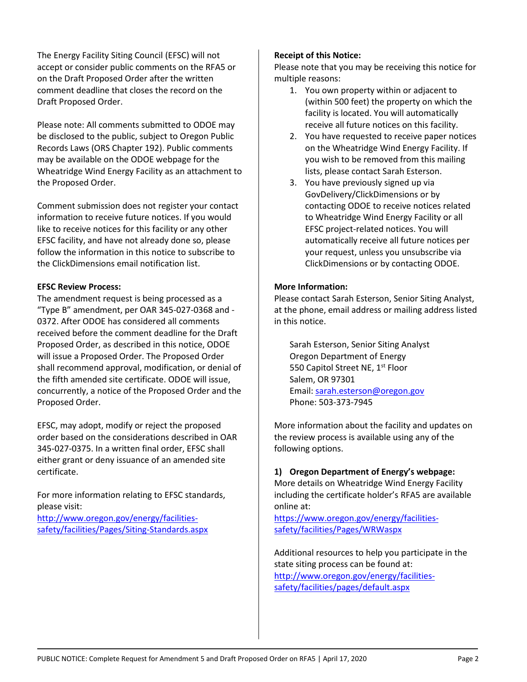The Energy Facility Siting Council (EFSC) will not accept or consider public comments on the RFA5 or on the Draft Proposed Order after the written comment deadline that closes the record on the Draft Proposed Order.

Please note: All comments submitted to ODOE may be disclosed to the public, subject to Oregon Public Records Laws (ORS Chapter 192). Public comments may be available on the ODOE webpage for the Wheatridge Wind Energy Facility as an attachment to the Proposed Order.

Comment submission does not register your contact information to receive future notices. If you would like to receive notices for this facility or any other EFSC facility, and have not already done so, please follow the information in this notice to subscribe to the ClickDimensions email notification list.

#### **EFSC Review Process:**

The amendment request is being processed as a "Type B" amendment, per OAR 345-027-0368 and - 0372. After ODOE has considered all comments received before the comment deadline for the Draft Proposed Order, as described in this notice, ODOE will issue a Proposed Order. The Proposed Order shall recommend approval, modification, or denial of the fifth amended site certificate. ODOE will issue, concurrently, a notice of the Proposed Order and the Proposed Order.

EFSC, may adopt, modify or reject the proposed order based on the considerations described in OAR 345-027-0375. In a written final order, EFSC shall either grant or deny issuance of an amended site certificate.

For more information relating to EFSC standards, please visit: [http://www.oregon.gov/energy/facilities-](http://www.oregon.gov/energy/facilities-safety/facilities/Pages/Siting-Standards.aspx)

[safety/facilities/Pages/Siting-Standards.aspx](http://www.oregon.gov/energy/facilities-safety/facilities/Pages/Siting-Standards.aspx)

## **Receipt of this Notice:**

Please note that you may be receiving this notice for multiple reasons:

- 1. You own property within or adjacent to (within 500 feet) the property on which the facility is located. You will automatically receive all future notices on this facility.
- 2. You have requested to receive paper notices on the Wheatridge Wind Energy Facility. If you wish to be removed from this mailing lists, please contact Sarah Esterson.
- 3. You have previously signed up via GovDelivery/ClickDimensions or by contacting ODOE to receive notices related to Wheatridge Wind Energy Facility or all EFSC project-related notices. You will automatically receive all future notices per your request, unless you unsubscribe via ClickDimensions or by contacting ODOE.

## **More Information:**

Please contact Sarah Esterson, Senior Siting Analyst, at the phone, email address or mailing address listed in this notice.

Sarah Esterson, Senior Siting Analyst Oregon Department of Energy 550 Capitol Street NE, 1<sup>st</sup> Floor Salem, OR 97301 Email[: sarah.esterson@oregon.gov](mailto:sarah.esterson@oregon.gov) Phone: 503-373-7945

More information about the facility and updates on the review process is available using any of the following options.

## **1) Oregon Department of Energy's webpage:**

More details on Wheatridge Wind Energy Facility including the certificate holder's RFA5 are available online at:

[https://www.oregon.gov/energy/facilities](https://www.oregon.gov/energy/facilities-safety/facilities/Pages/WRW.aspx)[safety/facilities/Pages/WRWaspx](https://www.oregon.gov/energy/facilities-safety/facilities/Pages/WRW.aspx)

Additional resources to help you participate in the state siting process can be found at: [http://www.oregon.gov/energy/facilities](http://www.oregon.gov/energy/facilities-safety/facilities/pages/default.aspx)[safety/facilities/pages/default.aspx](http://www.oregon.gov/energy/facilities-safety/facilities/pages/default.aspx)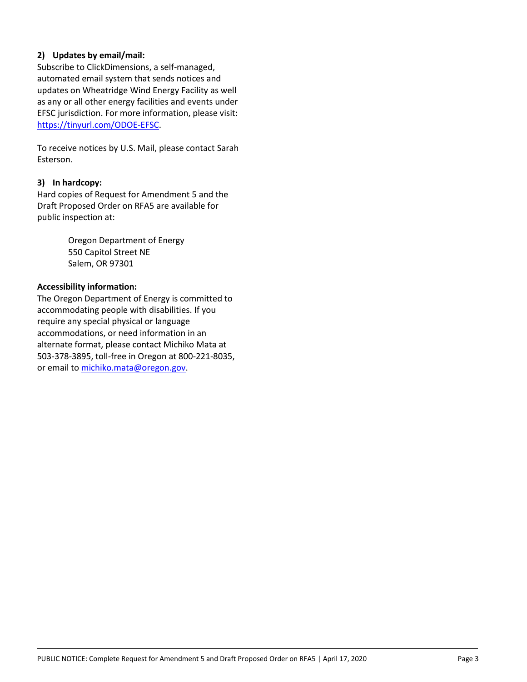#### **2) Updates by email/mail:**

Subscribe to ClickDimensions, a self-managed, automated email system that sends notices and updates on Wheatridge Wind Energy Facility as well as any or all other energy facilities and events under EFSC jurisdiction. For more information, please visit: [https://tinyurl.com/ODOE-EFSC.](https://tinyurl.com/ODOE-EFSC)

To receive notices by U.S. Mail, please contact Sarah Esterson.

#### **3) In hardcopy:**

Hard copies of Request for Amendment 5 and the Draft Proposed Order on RFA5 are available for public inspection at:

> Oregon Department of Energy 550 Capitol Street NE Salem, OR 97301

#### **Accessibility information:**

The Oregon Department of Energy is committed to accommodating people with disabilities. If you require any special physical or language accommodations, or need information in an alternate format, please contact Michiko Mata at 503-378-3895, toll-free in Oregon at 800-221-8035, or email to [michiko.mata@oregon.gov.](mailto:michiko.mata@oregon.gov)